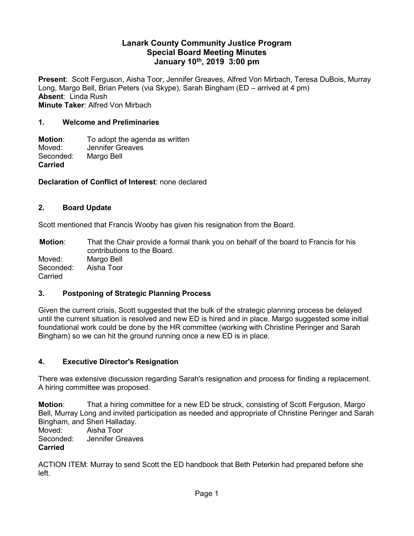### **Lanark County Community Justice Program Special Board Meeting Minutes January 10th, 2019 3:00 pm**

**Present**: Scott Ferguson, Aisha Toor, Jennifer Greaves, Alfred Von Mirbach, Teresa DuBois, Murray Long, Margo Bell, Brian Peters (via Skype), Sarah Bingham (ED – arrived at 4 pm) **Absent**: Linda Rush **Minute Taker**: Alfred Von Mirbach

### **1. Welcome and Preliminaries**

**Motion:** To adopt the agenda as written<br>Moved: Jennifer Greaves Jennifer Greaves Seconded: Margo Bell **Carried**

### **Declaration of Conflict of Interest**: none declared

### **2. Board Update**

Scott mentioned that Francis Wooby has given his resignation from the Board.

**Motion**: That the Chair provide a formal thank you on behalf of the board to Francis for his contributions to the Board. Moved: Margo Bell Seconded: Aisha Toor Carried

#### **3. Postponing of Strategic Planning Process**

Given the current crisis, Scott suggested that the bulk of the strategic planning process be delayed until the current situation is resolved and new ED is hired and in place. Margo suggested some initial foundational work could be done by the HR committee (working with Christine Peringer and Sarah Bingham) so we can hit the ground running once a new ED is in place.

# **4. Executive Director's Resignation**

There was extensive discussion regarding Sarah's resignation and process for finding a replacement. A hiring committee was proposed.

**Motion**: That a hiring committee for a new ED be struck, consisting of Scott Ferguson, Margo Bell, Murray Long and invited participation as needed and appropriate of Christine Peringer and Sarah Bingham, and Sheri Halladay.

Moved: Aisha Toor Seconded: Jennifer Greaves **Carried**

ACTION ITEM: Murray to send Scott the ED handbook that Beth Peterkin had prepared before she left.